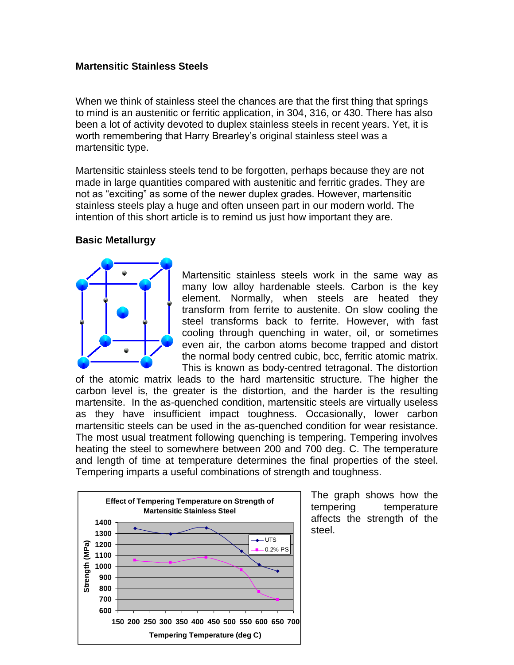### **Martensitic Stainless Steels**

When we think of stainless steel the chances are that the first thing that springs to mind is an austenitic or ferritic application, in 304, 316, or 430. There has also been a lot of activity devoted to duplex stainless steels in recent years. Yet, it is worth remembering that Harry Brearley's original stainless steel was a martensitic type.

Martensitic stainless steels tend to be forgotten, perhaps because they are not made in large quantities compared with austenitic and ferritic grades. They are not as "exciting" as some of the newer duplex grades. However, martensitic stainless steels play a huge and often unseen part in our modern world. The intention of this short article is to remind us just how important they are.

#### **Basic Metallurgy**



Martensitic stainless steels work in the same way as many low alloy hardenable steels. Carbon is the key element. Normally, when steels are heated they transform from ferrite to austenite. On slow cooling the steel transforms back to ferrite. However, with fast cooling through quenching in water, oil, or sometimes even air, the carbon atoms become trapped and distort the normal body centred cubic, bcc, ferritic atomic matrix. This is known as body-centred tetragonal. The distortion

of the atomic matrix leads to the hard martensitic structure. The higher the carbon level is, the greater is the distortion, and the harder is the resulting martensite. In the as-quenched condition, martensitic steels are virtually useless as they have insufficient impact toughness. Occasionally, lower carbon martensitic steels can be used in the as-quenched condition for wear resistance. The most usual treatment following quenching is tempering. Tempering involves heating the steel to somewhere between 200 and 700 deg. C. The temperature and length of time at temperature determines the final properties of the steel. Tempering imparts a useful combinations of strength and toughness.



The graph shows how the tempering temperature affects the strength of the steel.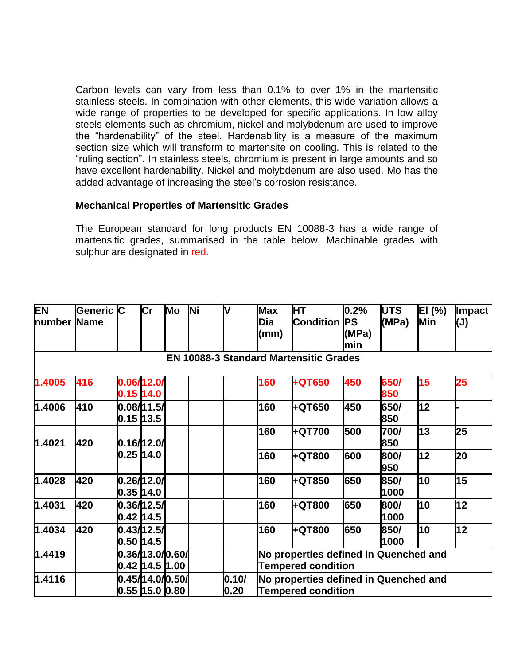Carbon levels can vary from less than 0.1% to over 1% in the martensitic stainless steels. In combination with other elements, this wide variation allows a wide range of properties to be developed for specific applications. In low alloy steels elements such as chromium, nickel and molybdenum are used to improve the "hardenability" of the steel. Hardenability is a measure of the maximum section size which will transform to martensite on cooling. This is related to the "ruling section". In stainless steels, chromium is present in large amounts and so have excellent hardenability. Nickel and molybdenum are also used. Mo has the added advantage of increasing the steel's corrosion resistance.

### **Mechanical Properties of Martensitic Grades**

The European standard for long products EN 10088-3 has a wide range of martensitic grades, summarised in the table below. Machinable grades with sulphur are designated in red.

| <b>EN</b><br>number | Generic C<br><b>Name</b> |             | $\mathsf{Cr}$                       | Mo | <b>Ni</b> | V             | <b>Max</b><br>Dia<br>(mm)                                          | <b>HT</b><br><b>Condition</b>                 | 0.2%<br><b>PS</b><br>(MPa)<br>min | <b>UTS</b><br>(MPa) | EI (%)<br>Min | <b>Impact</b><br>(J) |  |
|---------------------|--------------------------|-------------|-------------------------------------|----|-----------|---------------|--------------------------------------------------------------------|-----------------------------------------------|-----------------------------------|---------------------|---------------|----------------------|--|
|                     |                          |             |                                     |    |           |               |                                                                    | <b>EN 10088-3 Standard Martensitic Grades</b> |                                   |                     |               |                      |  |
| 1.4005              | 416                      |             | 0.06/12.0/<br>$0.15$ 14.0           |    |           |               | 160                                                                | +QT650                                        | 450                               | 650/<br>850         | 15            | 25                   |  |
| 1.4006              | 410                      |             | 0.08/11.5/<br>0.15 13.5             |    |           |               | 160                                                                | +QT650                                        | 450                               | 650/<br>850         | 12            |                      |  |
| 1.4021              | 420                      |             | 0.16/12.0/                          |    |           |               | 160                                                                | +QT700                                        | 500                               | 700/<br>850         | 13            | 25                   |  |
|                     |                          | 0.25 14.0   |                                     |    |           |               | 160                                                                | +QT800                                        | 600                               | 800/<br>950         | 12            | 20                   |  |
| 1.4028              | 420                      |             | 0.26/12.0/<br>0.35 14.0             |    |           |               | 160                                                                | +QT850                                        | 650                               | 850/<br>1000        | 10            | 15                   |  |
| 1.4031              | 420                      |             | 0.36/12.5/<br>0.42  14.5            |    |           |               | 160                                                                | +QT800                                        | 650                               | 800/<br>1000        | 10            | 12                   |  |
| 1.4034              | 420                      | 0.50   14.5 | 0.43/12.5/                          |    |           |               | 160                                                                | +QT800                                        | 650                               | 850/<br>1000        | 10            | 12                   |  |
| 1.4419              |                          |             | 0.36/13.0/0.60/<br>0.42  14.5  1.00 |    |           |               | No properties defined in Quenched and<br><b>Tempered condition</b> |                                               |                                   |                     |               |                      |  |
| 1.4116              |                          |             | 0.45/14.0/0.50/<br>0.55  15.0  0.80 |    |           | 0.10/<br>0.20 | No properties defined in Quenched and<br><b>Tempered condition</b> |                                               |                                   |                     |               |                      |  |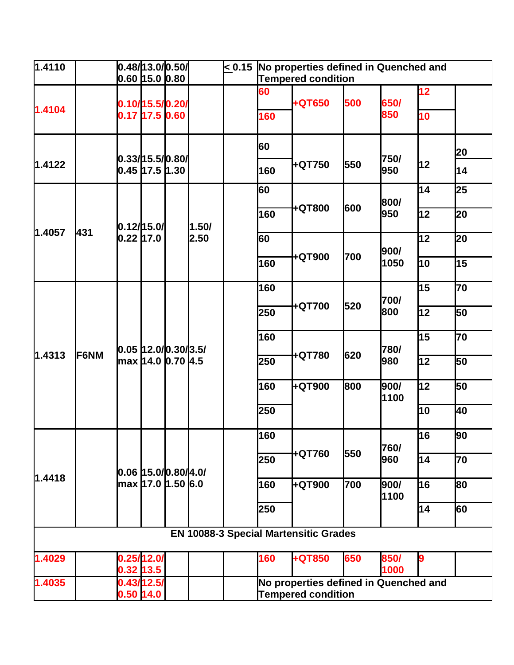| $\sqrt{1.4110}$ |             | 0.48/13.0/0.50/<br>$ 0.60 $ 15.0 $ 0.80 $ |                                              |                                                  |               | < 0.15 | No properties defined in Quenched and<br><b>Tempered condition</b> |                                              |     |              |    |    |
|-----------------|-------------|-------------------------------------------|----------------------------------------------|--------------------------------------------------|---------------|--------|--------------------------------------------------------------------|----------------------------------------------|-----|--------------|----|----|
|                 |             |                                           |                                              |                                                  |               |        |                                                                    |                                              |     |              | 12 |    |
|                 |             |                                           | 0.10/15.5/0.20/                              |                                                  |               |        | 60                                                                 | +QT650                                       | 500 | 650/         |    |    |
| 1.4104          |             |                                           | $0.17$ 17.5 0.60                             |                                                  |               |        | 160                                                                |                                              |     | 850          | 10 |    |
|                 |             |                                           |                                              |                                                  |               |        | 60                                                                 |                                              |     |              |    | 20 |
| 1.4122          |             |                                           | 0.33/15.5/0.80/<br>0.45 17.5 1.30            |                                                  |               |        | 160                                                                | +QT750                                       | 550 | 750/<br>950  | 12 | 14 |
|                 |             |                                           |                                              |                                                  | 1.50/<br>2.50 |        | 60                                                                 |                                              |     | 800/         | 14 | 25 |
|                 |             | 0.12/15.0/                                |                                              |                                                  |               |        | 160                                                                | +QT800                                       | 600 | 950          | 12 | 20 |
| 1.4057          | 431         | $0.22$ 17.0                               |                                              |                                                  |               |        | 60                                                                 |                                              |     | 900/         | 12 | 20 |
|                 |             |                                           |                                              |                                                  |               |        | 160                                                                | +QT900                                       | 700 | 1050         | 10 | 15 |
|                 | <b>F6NM</b> |                                           |                                              |                                                  |               |        | 160                                                                |                                              |     | 700/         | 15 | 70 |
|                 |             |                                           |                                              | $ 0.05 $ 12.0/0.30/3.5/<br> max  14.0  0.70  4.5 |               |        | 250                                                                | +QT700                                       | 520 | 800          | 12 | 50 |
|                 |             |                                           |                                              |                                                  |               |        | 160                                                                |                                              |     | 780/         | 15 | 70 |
| 1.4313          |             |                                           |                                              |                                                  |               |        | 250                                                                | +QT780                                       | 620 | 980          | 12 | 50 |
|                 |             |                                           |                                              |                                                  |               |        | 160                                                                | +QT900                                       | 800 | 900/<br>1100 | 12 | 50 |
|                 |             |                                           |                                              |                                                  |               |        | 250                                                                |                                              |     |              | 10 | 40 |
|                 |             |                                           |                                              |                                                  |               |        | 160                                                                |                                              |     | 760/         | 16 | 90 |
|                 |             |                                           | 0.06 15.0/0.80/4.0/<br> max  17.0  1.50  6.0 |                                                  |               |        | 250                                                                | +QT760                                       | 550 | 960          | 14 | 70 |
| 1.4418          |             |                                           |                                              |                                                  |               |        | 160                                                                | +QT900                                       | 700 | 900/<br>1100 | 16 | 80 |
|                 |             |                                           |                                              |                                                  |               |        | 250                                                                |                                              |     |              | 14 | 60 |
|                 |             |                                           |                                              |                                                  |               |        |                                                                    | <b>EN 10088-3 Special Martensitic Grades</b> |     |              |    |    |
| 1.4029          |             |                                           | 0.25/12.0/<br>$0.32$ 13.5                    |                                                  |               |        | 160                                                                | +QT850                                       | 650 | 850/<br>1000 | 9  |    |
| 1.4035          |             | $0.50$ 14.0                               | 0.43/12.5/                                   |                                                  |               |        | No properties defined in Quenched and<br><b>Tempered condition</b> |                                              |     |              |    |    |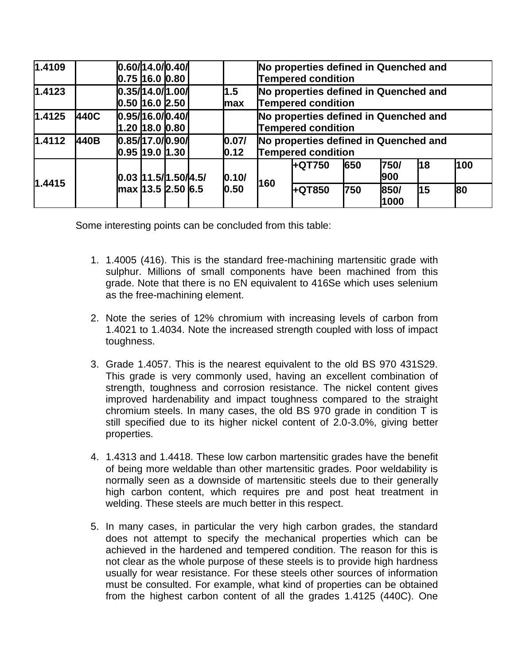| 1.4109 |      | 0.60/14.0/0.40/<br>$0.75$ $16.0$ $0.80$ |                  |                   | No properties defined in Quenched and<br><b>Tempered condition</b> |        |     |              |           |     |
|--------|------|-----------------------------------------|------------------|-------------------|--------------------------------------------------------------------|--------|-----|--------------|-----------|-----|
| 1.4123 |      | 0.50 16.0 2.50                          | 0.35/14.0/1.00/  | 1.5<br><b>max</b> | No properties defined in Quenched and<br><b>Tempered condition</b> |        |     |              |           |     |
| 1.4125 | 440C | 0.95/16.0/0.40/                         | 1.20  18.0  0.80 |                   | No properties defined in Quenched and<br><b>Tempered condition</b> |        |     |              |           |     |
| 1.4112 | 440B | 0.85/17.0/0.90/<br>$0.95$ 19.0 1.30     |                  | 0.07/<br>0.12     | No properties defined in Quenched and<br>Tempered condition        |        |     |              |           |     |
|        |      | 0.03 11.5/1.50/4.5/                     |                  | 0.10/             |                                                                    | +QT750 | 650 | 750/<br>900  | 18        | 100 |
| 1.4415 |      | max 13.5 2.50 6.5                       |                  | 0.50              | 160                                                                | +QT850 | 750 | 850/<br>1000 | <b>15</b> | 80  |

Some interesting points can be concluded from this table:

- 1. 1.4005 (416). This is the standard free-machining martensitic grade with sulphur. Millions of small components have been machined from this grade. Note that there is no EN equivalent to 416Se which uses selenium as the free-machining element.
- 2. Note the series of 12% chromium with increasing levels of carbon from 1.4021 to 1.4034. Note the increased strength coupled with loss of impact toughness.
- 3. Grade 1.4057. This is the nearest equivalent to the old BS 970 431S29. This grade is very commonly used, having an excellent combination of strength, toughness and corrosion resistance. The nickel content gives improved hardenability and impact toughness compared to the straight chromium steels. In many cases, the old BS 970 grade in condition T is still specified due to its higher nickel content of 2.0-3.0%, giving better properties.
- 4. 1.4313 and 1.4418. These low carbon martensitic grades have the benefit of being more weldable than other martensitic grades. Poor weldability is normally seen as a downside of martensitic steels due to their generally high carbon content, which requires pre and post heat treatment in welding. These steels are much better in this respect.
- 5. In many cases, in particular the very high carbon grades, the standard does not attempt to specify the mechanical properties which can be achieved in the hardened and tempered condition. The reason for this is not clear as the whole purpose of these steels is to provide high hardness usually for wear resistance. For these steels other sources of information must be consulted. For example, what kind of properties can be obtained from the highest carbon content of all the grades 1.4125 (440C). One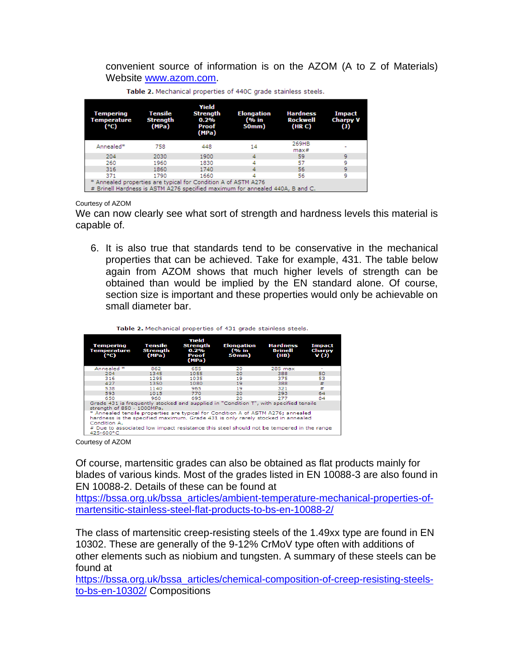convenient source of information is on the AZOM (A to Z of Materials) Website [www.azom.com.](http://www.azom.com/)

| <b>Tempering</b><br>Temperature<br>$(^{\circ}C)$               | Tensile<br><b>Strength</b><br>(MPa) | Yield<br><b>Strength</b><br>0.2%<br><b>Proof</b><br>(MPa) | <b>Elongation</b><br>(% in<br>50mm)                                           | <b>Hardness</b><br><b>Rockwell</b><br>(HR C) | Impact<br><b>Charpy V</b><br>$\left( 1\right)$ |
|----------------------------------------------------------------|-------------------------------------|-----------------------------------------------------------|-------------------------------------------------------------------------------|----------------------------------------------|------------------------------------------------|
| Annealed*                                                      | 758                                 | 448                                                       | 14                                                                            | 269HB<br>max#                                |                                                |
| 204                                                            | 2030                                | 1900                                                      |                                                                               | 59                                           | 9                                              |
| 260                                                            | 1960                                | 1830                                                      |                                                                               | 57                                           | ٩                                              |
| 316                                                            | 1860                                | 1740                                                      |                                                                               | 56                                           | 9                                              |
| 371                                                            | 1790                                | 1660                                                      |                                                                               | 56                                           | 9                                              |
| * Annealed properties are typical for Condition A of ASTM A276 |                                     |                                                           | # Brinell Hardness is ASTM A276 specified maximum for annealed 440A, B and C. |                                              |                                                |

Table 2. Mechanical properties of 440C grade stainless steels.

Courtesy of AZOM

We can now clearly see what sort of strength and hardness levels this material is capable of.

6. It is also true that standards tend to be conservative in the mechanical properties that can be achieved. Take for example, 431. The table below again from AZOM shows that much higher levels of strength can be obtained than would be implied by the EN standard alone. Of course, section size is important and these properties would only be achievable on small diameter bar.

| <b>Tempering</b><br>Temperature<br>$(^{\circ}C)$                                                                                                                                                                                                                                             | Tensile<br>Strength<br>(MPa) | Yield<br>Strenath<br>$0.2\%$<br>Proof<br>(MPa) | <b>Elongation</b><br>(% in<br>50mm) | <b>Hardness</b><br><b>Brinell</b><br>(HB) | <b>Impact</b><br>Charpy<br>V(J) |
|----------------------------------------------------------------------------------------------------------------------------------------------------------------------------------------------------------------------------------------------------------------------------------------------|------------------------------|------------------------------------------------|-------------------------------------|-------------------------------------------|---------------------------------|
| Annealed <sup>*</sup>                                                                                                                                                                                                                                                                        | 862                          | 655                                            | 20                                  | 285 max                                   | ۰                               |
| 204                                                                                                                                                                                                                                                                                          | 1345                         | 1055                                           | 20                                  | 388                                       | 50                              |
| 316                                                                                                                                                                                                                                                                                          | 1295                         | 1035                                           | 19                                  | 375                                       | 53                              |
| 427                                                                                                                                                                                                                                                                                          | 1350                         | 1080                                           | 19                                  | 388                                       | ₩                               |
| 538                                                                                                                                                                                                                                                                                          | 1140                         | 965                                            | 19                                  | 321                                       | ±                               |
| 593                                                                                                                                                                                                                                                                                          | 1015                         | 770                                            | 20                                  | 293                                       | 64                              |
| 650                                                                                                                                                                                                                                                                                          | 960                          | 695                                            | 20                                  | 277                                       | 84                              |
| Grade 431 is frequently stocked and supplied in "Condition T", with specified tensile<br>strength of 850 - 1000MPa.                                                                                                                                                                          |                              |                                                |                                     |                                           |                                 |
| * Annealed tensile properties are typical for Condition A of ASTM A276; annealed<br>hardness is the specified maximum. Grade 431 is only rarely stocked in annealed<br>Condition A.<br># Due to associated low impact resistance this steel should not be tempered in the range<br>425-600°C |                              |                                                |                                     |                                           |                                 |

Table 3, Machaniach ann antice of 434 and a chainless strate

Courtesy of AZOM

Of course, martensitic grades can also be obtained as flat products mainly for blades of various kinds. Most of the grades listed in EN 10088-3 are also found in EN 10088-2. Details of these can be found at

[https://bssa.org.uk/bssa\\_articles/ambient-temperature-mechanical-properties-of](https://bssa.org.uk/bssa_articles/ambient-temperature-mechanical-properties-of-martensitic-stainless-steel-flat-products-to-bs-en-10088-2/)[martensitic-stainless-steel-flat-products-to-bs-en-10088-2/](https://bssa.org.uk/bssa_articles/ambient-temperature-mechanical-properties-of-martensitic-stainless-steel-flat-products-to-bs-en-10088-2/)

The class of martensitic creep-resisting steels of the 1.49xx type are found in EN 10302. These are generally of the 9-12% CrMoV type often with additions of other elements such as niobium and tungsten. A summary of these steels can be found at

[https://bssa.org.uk/bssa\\_articles/chemical-composition-of-creep-resisting-steels](https://bssa.org.uk/bssa_articles/chemical-composition-of-creep-resisting-steels-to-bs-en-10302/)[to-bs-en-10302/](https://bssa.org.uk/bssa_articles/chemical-composition-of-creep-resisting-steels-to-bs-en-10302/) Compositions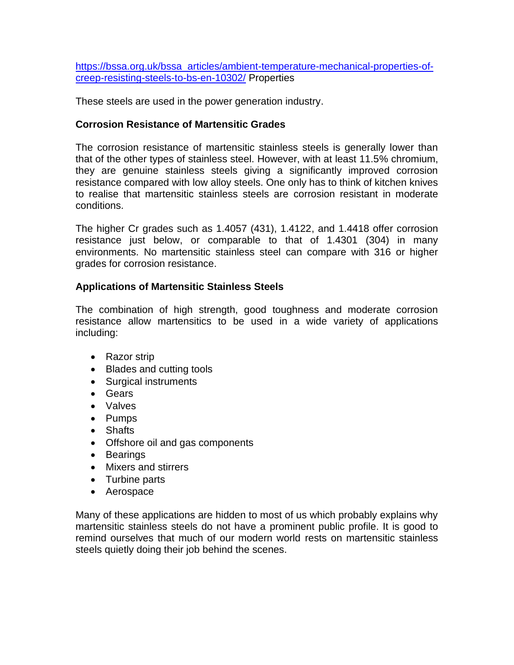[https://bssa.org.uk/bssa\\_articles/ambient-temperature-mechanical-properties-of](https://bssa.org.uk/bssa_articles/ambient-temperature-mechanical-properties-of-creep-resisting-steels-to-bs-en-10302/)[creep-resisting-steels-to-bs-en-10302/](https://bssa.org.uk/bssa_articles/ambient-temperature-mechanical-properties-of-creep-resisting-steels-to-bs-en-10302/) Properties

These steels are used in the power generation industry.

## **Corrosion Resistance of Martensitic Grades**

The corrosion resistance of martensitic stainless steels is generally lower than that of the other types of stainless steel. However, with at least 11.5% chromium, they are genuine stainless steels giving a significantly improved corrosion resistance compared with low alloy steels. One only has to think of kitchen knives to realise that martensitic stainless steels are corrosion resistant in moderate conditions.

The higher Cr grades such as 1.4057 (431), 1.4122, and 1.4418 offer corrosion resistance just below, or comparable to that of 1.4301 (304) in many environments. No martensitic stainless steel can compare with 316 or higher grades for corrosion resistance.

### **Applications of Martensitic Stainless Steels**

The combination of high strength, good toughness and moderate corrosion resistance allow martensitics to be used in a wide variety of applications including:

- Razor strip
- Blades and cutting tools
- Surgical instruments
- Gears
- Valves
- Pumps
- Shafts
- Offshore oil and gas components
- Bearings
- Mixers and stirrers
- Turbine parts
- Aerospace

Many of these applications are hidden to most of us which probably explains why martensitic stainless steels do not have a prominent public profile. It is good to remind ourselves that much of our modern world rests on martensitic stainless steels quietly doing their job behind the scenes.